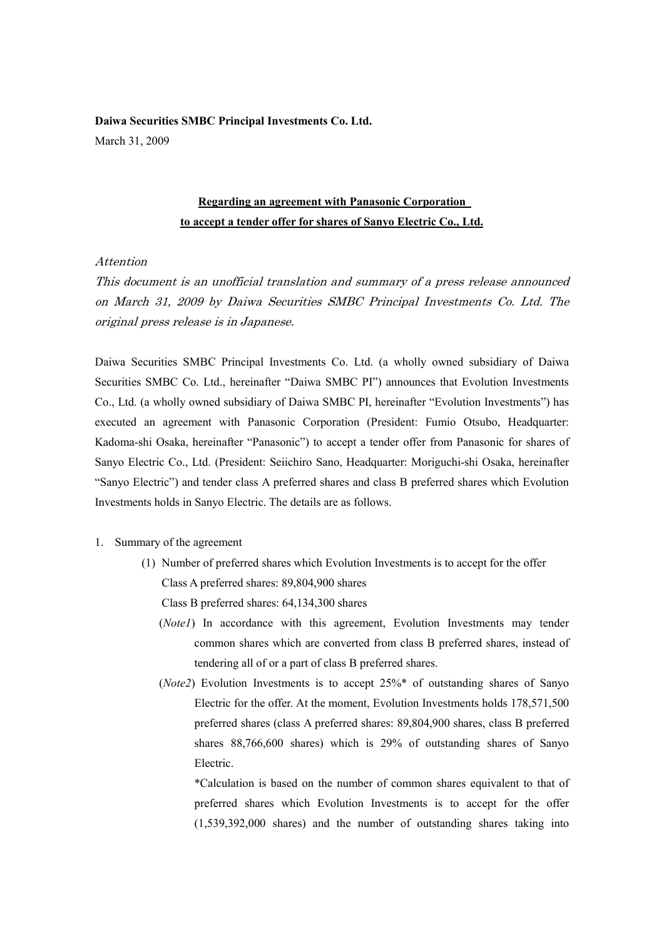**Daiwa Securities SMBC Principal Investments Co. Ltd.**  March 31, 2009

## **Regarding an agreement with Panasonic Corporation to accept a tender offer for shares of Sanyo Electric Co., Ltd.**

## Attention

This document is an unofficial translation and summary of a press release announced on March 31, 2009 by Daiwa Securities SMBC Principal Investments Co. Ltd. The original press release is in Japanese.

Daiwa Securities SMBC Principal Investments Co. Ltd. (a wholly owned subsidiary of Daiwa Securities SMBC Co. Ltd., hereinafter "Daiwa SMBC PI") announces that Evolution Investments Co., Ltd. (a wholly owned subsidiary of Daiwa SMBC PI, hereinafter "Evolution Investments") has executed an agreement with Panasonic Corporation (President: Fumio Otsubo, Headquarter: Kadoma-shi Osaka, hereinafter "Panasonic") to accept a tender offer from Panasonic for shares of Sanyo Electric Co., Ltd. (President: Seiichiro Sano, Headquarter: Moriguchi-shi Osaka, hereinafter "Sanyo Electric") and tender class A preferred shares and class B preferred shares which Evolution Investments holds in Sanyo Electric. The details are as follows.

- 1. Summary of the agreement
	- (1) Number of preferred shares which Evolution Investments is to accept for the offer Class A preferred shares: 89,804,900 shares

Class B preferred shares: 64,134,300 shares

- (*Note1*) In accordance with this agreement, Evolution Investments may tender common shares which are converted from class B preferred shares, instead of tendering all of or a part of class B preferred shares.
- (*Note2*) Evolution Investments is to accept 25%\* of outstanding shares of Sanyo Electric for the offer. At the moment, Evolution Investments holds 178,571,500 preferred shares (class A preferred shares: 89,804,900 shares, class B preferred shares 88,766,600 shares) which is 29% of outstanding shares of Sanyo Electric.

 \*Calculation is based on the number of common shares equivalent to that of preferred shares which Evolution Investments is to accept for the offer (1,539,392,000 shares) and the number of outstanding shares taking into